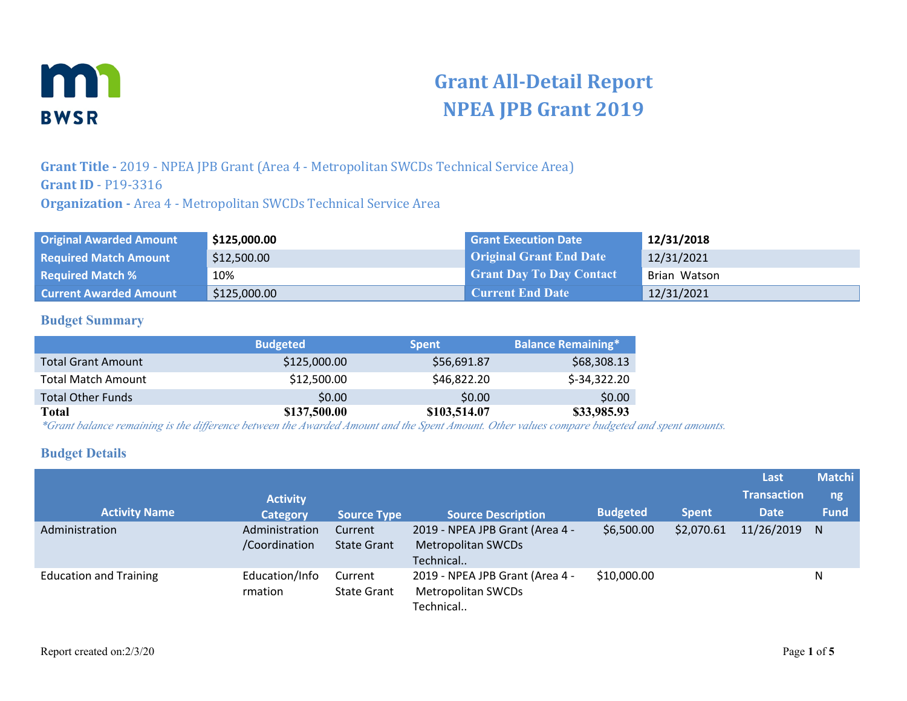

# **Grant All-Detail Report NPEA JPB Grant 2019**

**Grant Title -** 2019 - NPEA JPB Grant (Area 4 - Metropolitan SWCDs Technical Service Area) **Grant ID** - P19-3316 **Organization -** Area 4 - Metropolitan SWCDs Technical Service Area

| <b>Original Awarded Amount</b> | \$125,000.00 | <b>Grant Execution Date</b>     | 12/31/2018   |
|--------------------------------|--------------|---------------------------------|--------------|
| <b>Required Match Amount</b>   | \$12,500.00  | <b>Original Grant End Date</b>  | 12/31/2021   |
| <b>Required Match %</b>        | 10%          | <b>Grant Day To Day Contact</b> | Brian Watson |
| <b>Current Awarded Amount</b>  | \$125,000.00 | Current End Date                | 12/31/2021   |

#### **Budget Summary**

|                           | <b>Budgeted</b> | <b>Spent</b> | <b>Balance Remaining*</b> |
|---------------------------|-----------------|--------------|---------------------------|
| <b>Total Grant Amount</b> | \$125,000.00    | \$56,691.87  | \$68,308.13               |
| <b>Total Match Amount</b> | \$12,500.00     | \$46,822.20  | $$-34,322.20$             |
| <b>Total Other Funds</b>  | \$0.00          | \$0.00       | \$0.00                    |
| Total                     | \$137,500.00    | \$103,514.07 | \$33,985.93               |

*\*Grant balance remaining is the difference between the Awarded Amount and the Spent Amount. Other values compare budgeted and spent amounts.*

#### **Budget Details**

| <b>Activity Name</b>          | <b>Activity</b><br><b>Category</b> | <b>Source Type</b>            | <b>Source Description</b>                                                 | <b>Budgeted</b> | <b>Spent</b> | Last<br><b>Transaction</b><br><b>Date</b> | <b>Matchi</b><br>ng<br><b>Fund</b> |
|-------------------------------|------------------------------------|-------------------------------|---------------------------------------------------------------------------|-----------------|--------------|-------------------------------------------|------------------------------------|
| Administration                | Administration<br>/Coordination    | Current<br><b>State Grant</b> | 2019 - NPEA JPB Grant (Area 4 -<br><b>Metropolitan SWCDs</b><br>Technical | \$6,500.00      | \$2,070.61   | 11/26/2019                                | <sub>N</sub>                       |
| <b>Education and Training</b> | Education/Info<br>rmation          | Current<br><b>State Grant</b> | 2019 - NPEA JPB Grant (Area 4 -<br>Metropolitan SWCDs<br>Technical        | \$10,000.00     |              |                                           | Ν                                  |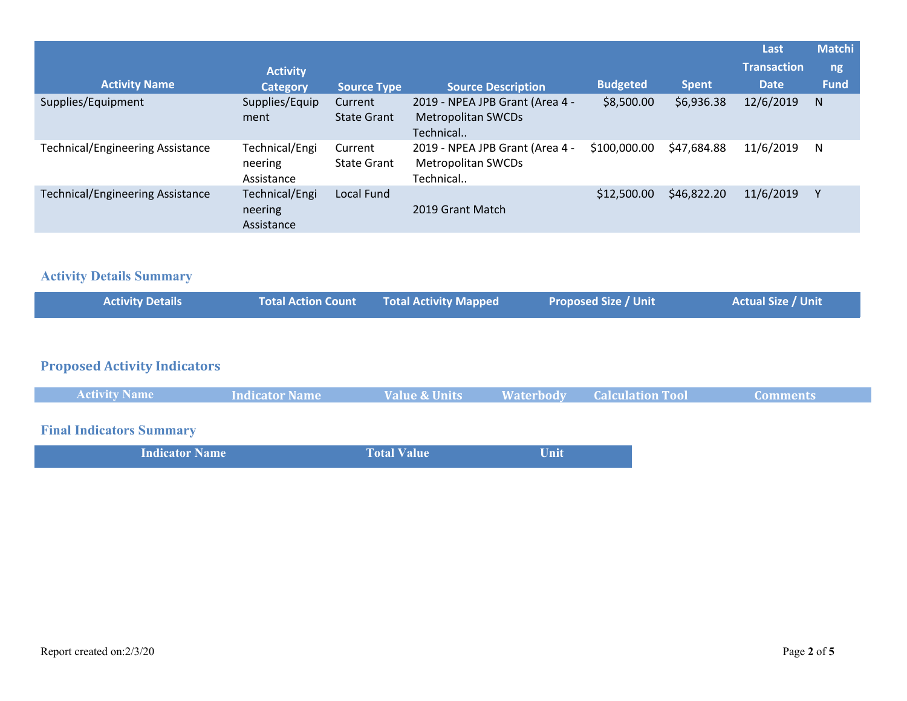|                                         |                                         |                               |                                                                           |                 |              | Last               | <b>Matchi</b> |
|-----------------------------------------|-----------------------------------------|-------------------------------|---------------------------------------------------------------------------|-----------------|--------------|--------------------|---------------|
|                                         | <b>Activity</b>                         |                               |                                                                           |                 |              | <b>Transaction</b> | ng            |
| <b>Activity Name</b>                    | <b>Category</b>                         | <b>Source Type</b>            | <b>Source Description</b>                                                 | <b>Budgeted</b> | <b>Spent</b> | <b>Date</b>        | <b>Fund</b>   |
| Supplies/Equipment                      | Supplies/Equip<br>ment                  | Current<br><b>State Grant</b> | 2019 - NPEA JPB Grant (Area 4 -<br><b>Metropolitan SWCDs</b><br>Technical | \$8,500.00      | \$6,936.38   | 12/6/2019          | N             |
| <b>Technical/Engineering Assistance</b> | Technical/Engi<br>neering<br>Assistance | Current<br><b>State Grant</b> | 2019 - NPEA JPB Grant (Area 4 -<br>Metropolitan SWCDs<br>Technical        | \$100,000.00    | \$47,684.88  | 11/6/2019          | N             |
| <b>Technical/Engineering Assistance</b> | Technical/Engi<br>neering<br>Assistance | Local Fund                    | 2019 Grant Match                                                          | \$12,500.00     | \$46,822.20  | 11/6/2019          |               |

## **Activity Details Summary**

| <b>Activity Details</b> | Total Action Count Total Activity Mapped | <b>Proposed Size / Unit</b> | Actual Size / Unit |  |
|-------------------------|------------------------------------------|-----------------------------|--------------------|--|
|                         |                                          |                             |                    |  |

# **Proposed Activity Indicators**

| <b>Activity Name</b> | Indicator Name | <b>Value &amp; Units</b> | <b>Waterbody</b> | <b>Calculation Tool</b> | Comments |  |
|----------------------|----------------|--------------------------|------------------|-------------------------|----------|--|
|                      |                |                          |                  |                         |          |  |

# **Final Indicators Summary**

| <b>Indicator Name</b> | <b>Total Value</b> | Unit |
|-----------------------|--------------------|------|
|                       |                    |      |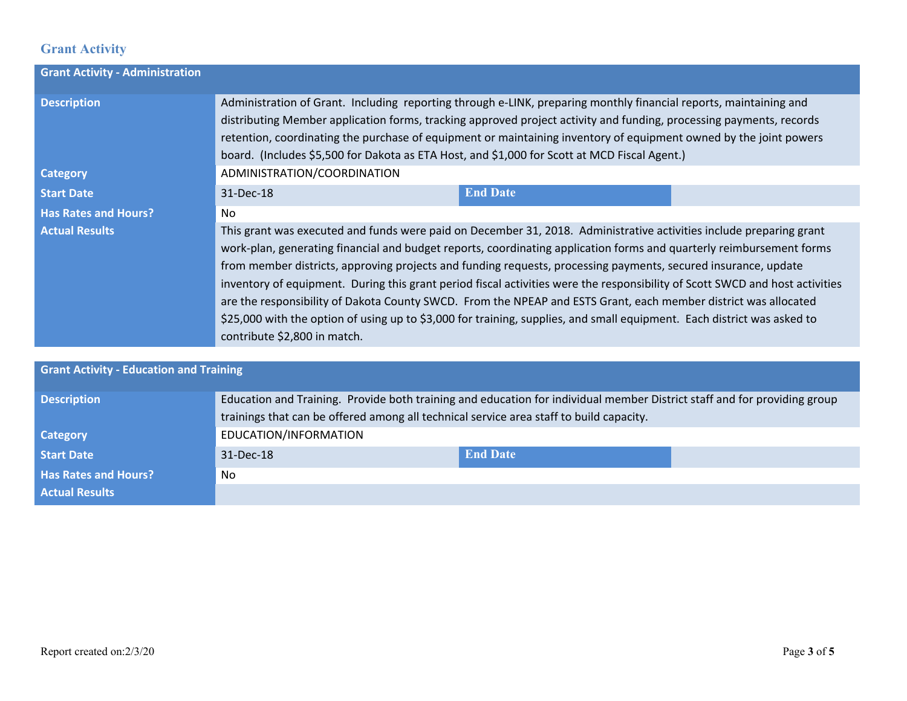## **Grant Activity**

| <b>Grant Activity - Administration</b>         |                                                                                                                                                                                                                                                                                                                                                                                                                                                                                                                                                                                                                                                                                                                                                                             |                 |  |
|------------------------------------------------|-----------------------------------------------------------------------------------------------------------------------------------------------------------------------------------------------------------------------------------------------------------------------------------------------------------------------------------------------------------------------------------------------------------------------------------------------------------------------------------------------------------------------------------------------------------------------------------------------------------------------------------------------------------------------------------------------------------------------------------------------------------------------------|-----------------|--|
| <b>Description</b>                             | Administration of Grant. Including reporting through e-LINK, preparing monthly financial reports, maintaining and<br>distributing Member application forms, tracking approved project activity and funding, processing payments, records<br>retention, coordinating the purchase of equipment or maintaining inventory of equipment owned by the joint powers<br>board. (Includes \$5,500 for Dakota as ETA Host, and \$1,000 for Scott at MCD Fiscal Agent.)                                                                                                                                                                                                                                                                                                               |                 |  |
| <b>Category</b>                                | ADMINISTRATION/COORDINATION                                                                                                                                                                                                                                                                                                                                                                                                                                                                                                                                                                                                                                                                                                                                                 |                 |  |
| <b>Start Date</b>                              | 31-Dec-18                                                                                                                                                                                                                                                                                                                                                                                                                                                                                                                                                                                                                                                                                                                                                                   | <b>End Date</b> |  |
| <b>Has Rates and Hours?</b>                    | No.                                                                                                                                                                                                                                                                                                                                                                                                                                                                                                                                                                                                                                                                                                                                                                         |                 |  |
| <b>Actual Results</b>                          | This grant was executed and funds were paid on December 31, 2018. Administrative activities include preparing grant<br>work-plan, generating financial and budget reports, coordinating application forms and quarterly reimbursement forms<br>from member districts, approving projects and funding requests, processing payments, secured insurance, update<br>inventory of equipment. During this grant period fiscal activities were the responsibility of Scott SWCD and host activities<br>are the responsibility of Dakota County SWCD. From the NPEAP and ESTS Grant, each member district was allocated<br>\$25,000 with the option of using up to \$3,000 for training, supplies, and small equipment. Each district was asked to<br>contribute \$2,800 in match. |                 |  |
|                                                |                                                                                                                                                                                                                                                                                                                                                                                                                                                                                                                                                                                                                                                                                                                                                                             |                 |  |
| <b>Grant Activity - Education and Training</b> |                                                                                                                                                                                                                                                                                                                                                                                                                                                                                                                                                                                                                                                                                                                                                                             |                 |  |
| <b>Description</b>                             | Education and Training. Provide both training and education for individual member District staff and for providing group<br>trainings that can be offered among all technical service area staff to build capacity.                                                                                                                                                                                                                                                                                                                                                                                                                                                                                                                                                         |                 |  |
| <b>Category</b>                                | EDUCATION/INFORMATION                                                                                                                                                                                                                                                                                                                                                                                                                                                                                                                                                                                                                                                                                                                                                       |                 |  |

| <b>Start Date</b>           | 31-Dec-18 | <b>End Date</b> |  |
|-----------------------------|-----------|-----------------|--|
| <b>Has Rates and Hours?</b> | No        |                 |  |
| <b>Actual Results</b>       |           |                 |  |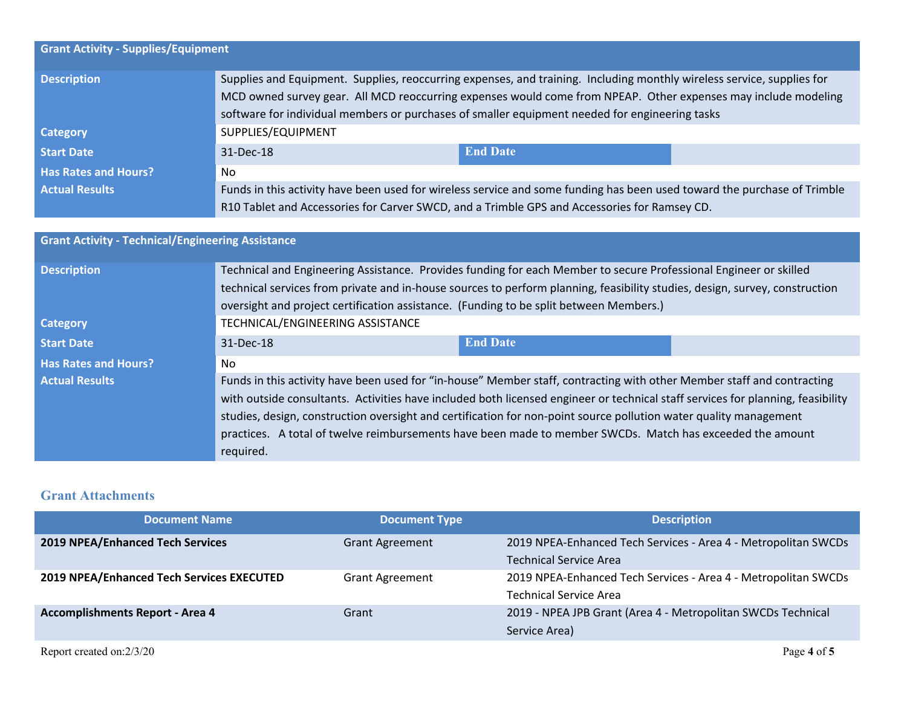| <b>Grant Activity - Supplies/Equipment</b> |                                                                                                                                                                                                                                                                                                                                            |                                                                                                                          |  |  |
|--------------------------------------------|--------------------------------------------------------------------------------------------------------------------------------------------------------------------------------------------------------------------------------------------------------------------------------------------------------------------------------------------|--------------------------------------------------------------------------------------------------------------------------|--|--|
| <b>Description</b>                         | Supplies and Equipment. Supplies, reoccurring expenses, and training. Including monthly wireless service, supplies for<br>MCD owned survey gear. All MCD reoccurring expenses would come from NPEAP. Other expenses may include modeling<br>software for individual members or purchases of smaller equipment needed for engineering tasks |                                                                                                                          |  |  |
| <b>Category</b>                            | SUPPLIES/EQUIPMENT                                                                                                                                                                                                                                                                                                                         |                                                                                                                          |  |  |
| <b>Start Date</b>                          | 31-Dec-18                                                                                                                                                                                                                                                                                                                                  | <b>End Date</b>                                                                                                          |  |  |
| <b>Has Rates and Hours?</b>                | No.                                                                                                                                                                                                                                                                                                                                        |                                                                                                                          |  |  |
| <b>Actual Results</b>                      |                                                                                                                                                                                                                                                                                                                                            | Funds in this activity have been used for wireless service and some funding has been used toward the purchase of Trimble |  |  |
|                                            | R10 Tablet and Accessories for Carver SWCD, and a Trimble GPS and Accessories for Ramsey CD.                                                                                                                                                                                                                                               |                                                                                                                          |  |  |

| <b>Grant Activity - Technical/Engineering Assistance</b> |                                                                                                                                                                                                                                                                                                                                                                                                                                                                                                          |                 |  |
|----------------------------------------------------------|----------------------------------------------------------------------------------------------------------------------------------------------------------------------------------------------------------------------------------------------------------------------------------------------------------------------------------------------------------------------------------------------------------------------------------------------------------------------------------------------------------|-----------------|--|
| <b>Description</b>                                       | Technical and Engineering Assistance. Provides funding for each Member to secure Professional Engineer or skilled<br>technical services from private and in-house sources to perform planning, feasibility studies, design, survey, construction<br>oversight and project certification assistance. (Funding to be split between Members.)                                                                                                                                                               |                 |  |
| <b>Category</b>                                          | TECHNICAL/ENGINEERING ASSISTANCE                                                                                                                                                                                                                                                                                                                                                                                                                                                                         |                 |  |
| <b>Start Date</b>                                        | 31-Dec-18                                                                                                                                                                                                                                                                                                                                                                                                                                                                                                | <b>End Date</b> |  |
| <b>Has Rates and Hours?</b>                              | No.                                                                                                                                                                                                                                                                                                                                                                                                                                                                                                      |                 |  |
| <b>Actual Results</b>                                    | Funds in this activity have been used for "in-house" Member staff, contracting with other Member staff and contracting<br>with outside consultants. Activities have included both licensed engineer or technical staff services for planning, feasibility<br>studies, design, construction oversight and certification for non-point source pollution water quality management<br>practices. A total of twelve reimbursements have been made to member SWCDs. Match has exceeded the amount<br>required. |                 |  |

### **Grant Attachments**

| <b>Document Name</b>                      | <b>Document Type</b>   | <b>Description</b>                                             |
|-------------------------------------------|------------------------|----------------------------------------------------------------|
| 2019 NPEA/Enhanced Tech Services          | <b>Grant Agreement</b> | 2019 NPEA-Enhanced Tech Services - Area 4 - Metropolitan SWCDs |
|                                           |                        | <b>Technical Service Area</b>                                  |
| 2019 NPEA/Enhanced Tech Services EXECUTED | <b>Grant Agreement</b> | 2019 NPEA-Enhanced Tech Services - Area 4 - Metropolitan SWCDs |
|                                           |                        | <b>Technical Service Area</b>                                  |
| <b>Accomplishments Report - Area 4</b>    | Grant                  | 2019 - NPEA JPB Grant (Area 4 - Metropolitan SWCDs Technical   |
|                                           |                        | Service Area)                                                  |
| Report created on:2/3/20                  |                        | Page 4 of 5                                                    |